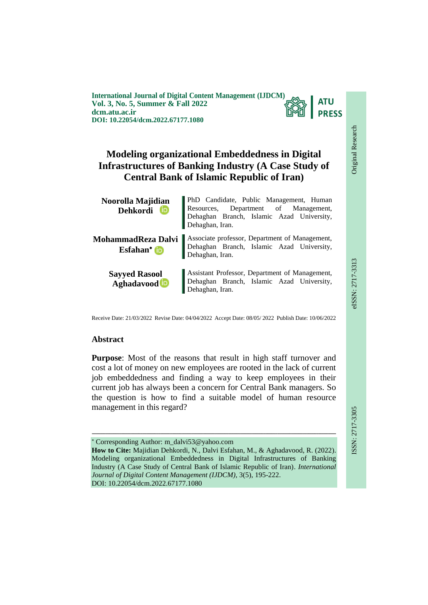**International Journal of Digital Content Management (IJDCM) ATU Vol. 3, No. 5, Summer & Fall 2022 PRESS dcm.atu.ac.ir DOI: 10.22054/dcm.2022.67177.1080**

# **Modeling organizational Embeddedness in Digital Infrastructures of Banking Industry (A Case Study of Central Bank of Islamic Republic of Iran)**

| Noorolla Majidian<br>Dehkordi D | PhD Candidate, Public Management, Human<br>Resources, Department of Management,<br>Dehaghan Branch, Islamic Azad University,<br>Dehaghan, Iran. |
|---------------------------------|-------------------------------------------------------------------------------------------------------------------------------------------------|
| MohammadReza Dalvi              | Associate professor, Department of Management,<br>Dehaghan Branch, Islamic Azad University,                                                     |
| Esfahan* to                     | Dehaghan, Iran.                                                                                                                                 |
| <b>Sayyed Rasool</b>            | Assistant Professor, Department of Management,<br>Dehaghan Branch, Islamic Azad University,                                                     |
| Aghadavood                      | Dehaghan, Iran.                                                                                                                                 |

Receive Date: 21/03/2022 Revise Date: 04/04/2022 Accept Date: 08/05/ 2022 Publish Date: 10/06/2022

#### **Abstract**

**Purpose**: Most of the reasons that result in high staff turnover and cost a lot of money on new employees are rooted in the lack of current job embeddedness and finding a way to keep employees in their current job has always been a concern for Central Bank managers. So the question is how to find a suitable model of human resource management in this regard?

 Corresponding Author: m\_dalvi53@yahoo.com **How to Cite:** Majidian Dehkordi, N., Dalvi Esfahan, M., & Aghadavood, R. (2022). Modeling organizational Embeddedness in Digital Infrastructures of Banking Industry (A Case Study of Central Bank of Islamic Republic of Iran). *International Journal of Digital Content Management (IJDCM)*, 3(5), 195-222. DOI: 10.22054/dcm.2022.67177.1080

ـــــــــــــــــــــــــــــــــــــــــــــــــــــــــــــــــــــــــــــــــــــــــــــــــــــــــــــــــــــــــــــ

Original Research

Original Research

**EIEE-717-3313**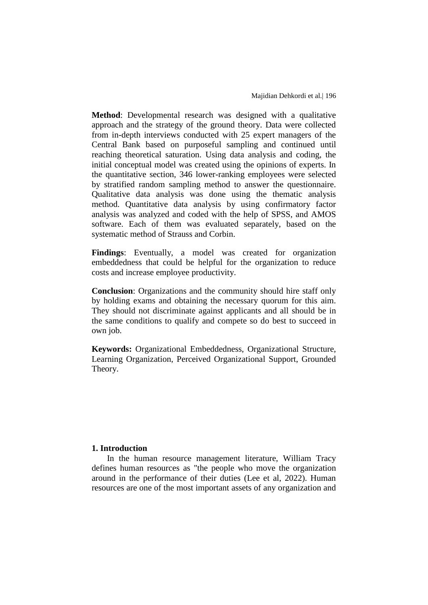**Method**: Developmental research was designed with a qualitative approach and the strategy of the ground theory. Data were collected from in-depth interviews conducted with 25 expert managers of the Central Bank based on purposeful sampling and continued until reaching theoretical saturation. Using data analysis and coding, the initial conceptual model was created using the opinions of experts. In the quantitative section, 346 lower-ranking employees were selected by stratified random sampling method to answer the questionnaire. Qualitative data analysis was done using the thematic analysis method. Quantitative data analysis by using confirmatory factor analysis was analyzed and coded with the help of SPSS, and AMOS software. Each of them was evaluated separately, based on the systematic method of Strauss and Corbin.

**Findings**: Eventually, a model was created for organization embeddedness that could be helpful for the organization to reduce costs and increase employee productivity.

**Conclusion**: Organizations and the community should hire staff only by holding exams and obtaining the necessary quorum for this aim. They should not discriminate against applicants and all should be in the same conditions to qualify and compete so do best to succeed in own job.

**Keywords:** Organizational Embeddedness, Organizational Structure, Learning Organization, Perceived Organizational Support, Grounded Theory.

#### **1. Introduction**

In the human resource management literature, William Tracy defines human resources as "the people who move the organization around in the performance of their duties (Lee et al, 2022). Human resources are one of the most important assets of any organization and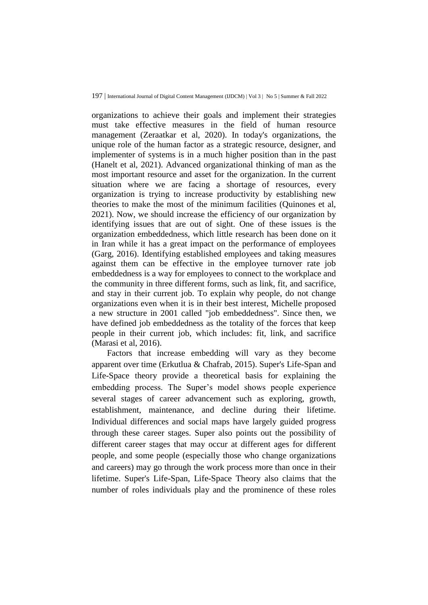organizations to achieve their goals and implement their strategies must take effective measures in the field of human resource management (Zeraatkar et al, 2020). In today's organizations, the unique role of the human factor as a strategic resource, designer, and implementer of systems is in a much higher position than in the past (Hanelt et al, 2021). Advanced organizational thinking of man as the most important resource and asset for the organization. In the current situation where we are facing a shortage of resources, every organization is trying to increase productivity by establishing new theories to make the most of the minimum facilities (Quinones et al, 2021). Now, we should increase the efficiency of our organization by identifying issues that are out of sight. One of these issues is the organization embeddedness, which little research has been done on it in Iran while it has a great impact on the performance of employees (Garg, 2016). Identifying established employees and taking measures against them can be effective in the employee turnover rate job embeddedness is a way for employees to connect to the workplace and the community in three different forms, such as link, fit, and sacrifice, and stay in their current job. To explain why people, do not change organizations even when it is in their best interest, Michelle proposed a new structure in 2001 called "job embeddedness". Since then, we have defined job embeddedness as the totality of the forces that keep people in their current job, which includes: fit, link, and sacrifice (Marasi et al, 2016).

Factors that increase embedding will vary as they become apparent over time (Erkutlua & Chafrab, 2015). Super's Life-Span and Life-Space theory provide a theoretical basis for explaining the embedding process. The Super's model shows people experience several stages of career advancement such as exploring, growth, establishment, maintenance, and decline during their lifetime. Individual differences and social maps have largely guided progress through these career stages. Super also points out the possibility of different career stages that may occur at different ages for different people, and some people (especially those who change organizations and careers) may go through the work process more than once in their lifetime. Super's Life-Span, Life-Space Theory also claims that the number of roles individuals play and the prominence of these roles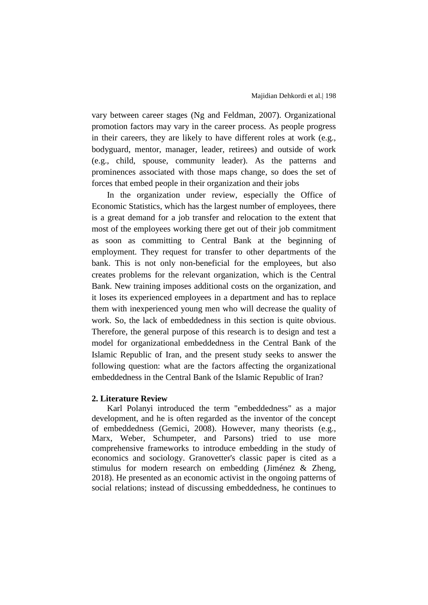vary between career stages (Ng and Feldman, 2007). Organizational promotion factors may vary in the career process. As people progress in their careers, they are likely to have different roles at work (e.g., bodyguard, mentor, manager, leader, retirees) and outside of work (e.g., child, spouse, community leader). As the patterns and prominences associated with those maps change, so does the set of forces that embed people in their organization and their jobs

In the organization under review, especially the Office of Economic Statistics, which has the largest number of employees, there is a great demand for a job transfer and relocation to the extent that most of the employees working there get out of their job commitment as soon as committing to Central Bank at the beginning of employment. They request for transfer to other departments of the bank. This is not only non-beneficial for the employees, but also creates problems for the relevant organization, which is the Central Bank. New training imposes additional costs on the organization, and it loses its experienced employees in a department and has to replace them with inexperienced young men who will decrease the quality of work. So, the lack of embeddedness in this section is quite obvious. Therefore, the general purpose of this research is to design and test a model for organizational embeddedness in the Central Bank of the Islamic Republic of Iran, and the present study seeks to answer the following question: what are the factors affecting the organizational embeddedness in the Central Bank of the Islamic Republic of Iran?

#### **2. Literature Review**

Karl Polanyi introduced the term "embeddedness" as a major development, and he is often regarded as the inventor of the concept of embeddedness (Gemici, 2008). However, many theorists (e.g., Marx, Weber, Schumpeter, and Parsons) tried to use more comprehensive frameworks to introduce embedding in the study of economics and sociology. Granovetter's classic paper is cited as a stimulus for modern research on embedding (Jiménez & Zheng, 2018). He presented as an economic activist in the ongoing patterns of social relations; instead of discussing embeddedness, he continues to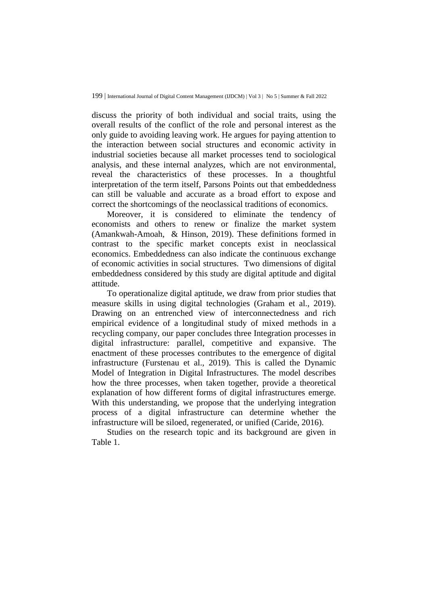discuss the priority of both individual and social traits, using the overall results of the conflict of the role and personal interest as the only guide to avoiding leaving work. He argues for paying attention to the interaction between social structures and economic activity in industrial societies because all market processes tend to sociological analysis, and these internal analyzes, which are not environmental, reveal the characteristics of these processes. In a thoughtful interpretation of the term itself, Parsons Points out that embeddedness can still be valuable and accurate as a broad effort to expose and correct the shortcomings of the neoclassical traditions of economics.

Moreover, it is considered to eliminate the tendency of economists and others to renew or finalize the market system (Amankwah-Amoah, & Hinson, 2019). These definitions formed in contrast to the specific market concepts exist in neoclassical economics. Embeddedness can also indicate the continuous exchange of economic activities in social structures. Two dimensions of digital embeddedness considered by this study are digital aptitude and digital attitude.

To operationalize digital aptitude, we draw from prior studies that measure skills in using digital technologies (Graham et al., 2019). Drawing on an entrenched view of interconnectedness and rich empirical evidence of a longitudinal study of mixed methods in a recycling company, our paper concludes three Integration processes in digital infrastructure: parallel, competitive and expansive. The enactment of these processes contributes to the emergence of digital infrastructure (Furstenau et al., 2019). This is called the Dynamic Model of Integration in Digital Infrastructures. The model describes how the three processes, when taken together, provide a theoretical explanation of how different forms of digital infrastructures emerge. With this understanding, we propose that the underlying integration process of a digital infrastructure can determine whether the infrastructure will be siloed, regenerated, or unified (Caride, 2016).

Studies on the research topic and its background are given in Table 1.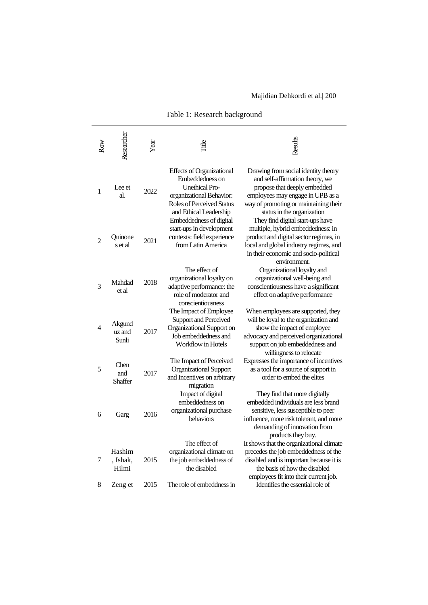Table 1: Research background

| Row            | Researcher                  | Year | Title                                                                                                                                                                  | Results                                                                                                                                                                                                            |
|----------------|-----------------------------|------|------------------------------------------------------------------------------------------------------------------------------------------------------------------------|--------------------------------------------------------------------------------------------------------------------------------------------------------------------------------------------------------------------|
| 1              | Lee et<br>al.               | 2022 | <b>Effects of Organizational</b><br>Embeddedness on<br><b>Unethical Pro-</b><br>organizational Behavior:<br><b>Roles of Perceived Status</b><br>and Ethical Leadership | Drawing from social identity theory<br>and self-affirmation theory, we<br>propose that deeply embedded<br>employees may engage in UPB as a<br>way of promoting or maintaining their<br>status in the organization  |
| $\overline{c}$ | Quinone<br>s et al          | 2021 | Embeddedness of digital<br>start-ups in development<br>contexts: field experience<br>from Latin America                                                                | They find digital start-ups have<br>multiple, hybrid embeddedness: in<br>product and digital sector regimes, in<br>local and global industry regimes, and<br>in their economic and socio-political<br>environment. |
| 3              | Mahdad<br>et al             | 2018 | The effect of<br>organizational loyalty on<br>adaptive performance: the<br>role of moderator and<br>conscientiousness                                                  | Organizational loyalty and<br>organizational well-being and<br>conscientiousness have a significant<br>effect on adaptive performance                                                                              |
| 4              | Akgund<br>uz and<br>Sunli   | 2017 | The Impact of Employee<br>Support and Perceived<br>Organizational Support on<br>Job embeddedness and<br>Workflow in Hotels                                             | When employees are supported, they<br>will be loyal to the organization and<br>show the impact of employee<br>advocacy and perceived organizational<br>support on job embeddedness and<br>willingness to relocate  |
| 5              | Chen<br>and<br>Shaffer      | 2017 | The Impact of Perceived<br><b>Organizational Support</b><br>and Incentives on arbitrary<br>migration                                                                   | Expresses the importance of incentives<br>as a tool for a source of support in<br>order to embed the elites                                                                                                        |
| 6              | Garg                        | 2016 | Impact of digital<br>embeddedness on<br>organizational purchase<br>behaviors                                                                                           | They find that more digitally<br>embedded individuals are less brand<br>sensitive, less susceptible to peer<br>influence, more risk tolerant, and more<br>demanding of innovation from<br>products they buy.       |
| 7              | Hashim<br>, Ishak,<br>Hilmi | 2015 | The effect of<br>organizational climate on<br>the job embeddedness of<br>the disabled                                                                                  | It shows that the organizational climate<br>precedes the job embeddedness of the<br>disabled and is important because it is<br>the basis of how the disabled<br>employees fit into their current job.              |
| 8              | Zeng et                     | 2015 | The role of embeddness in                                                                                                                                              | Identifies the essential role of                                                                                                                                                                                   |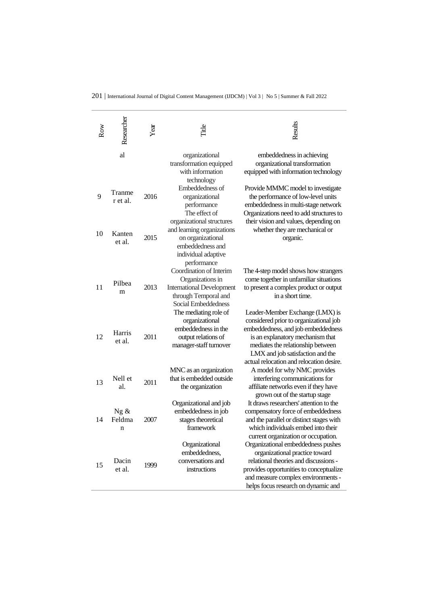| Row | Researcher          | Year | Title                                                                                                                                         | Results                                                                                                                                                                                                                                                                  |
|-----|---------------------|------|-----------------------------------------------------------------------------------------------------------------------------------------------|--------------------------------------------------------------------------------------------------------------------------------------------------------------------------------------------------------------------------------------------------------------------------|
|     | al                  |      | organizational<br>transformation equipped<br>with information<br>technology                                                                   | embeddedness in achieving<br>organizational transformation<br>equipped with information technology                                                                                                                                                                       |
| 9   | Tranme<br>r et al.  | 2016 | Embeddedness of<br>organizational<br>performance<br>The effect of<br>organizational structures                                                | Provide MMMC model to investigate<br>the performance of low-level units<br>embeddedness in multi-stage network<br>Organizations need to add structures to<br>their vision and values, depending on                                                                       |
| 10  | Kanten<br>et al.    | 2015 | and learning organizations<br>on organizational<br>embeddedness and<br>individual adaptive                                                    | whether they are mechanical or<br>organic.                                                                                                                                                                                                                               |
| 11  | Pilbea<br>m         | 2013 | performance<br>Coordination of Interim<br>Organizations in<br><b>International Development</b><br>through Temporal and<br>Social Embeddedness | The 4-step model shows how strangers<br>come together in unfamiliar situations<br>to present a complex product or output<br>in a short time.                                                                                                                             |
| 12  | Harris<br>et al.    | 2011 | The mediating role of<br>organizational<br>embeddedness in the<br>output relations of<br>manager-staff turnover                               | Leader-Member Exchange (LMX) is<br>considered prior to organizational job<br>embeddedness, and job embeddedness<br>is an explanatory mechanism that<br>mediates the relationship between<br>LMX and job satisfaction and the<br>actual relocation and relocation desire. |
| 13  | Nell et<br>al.      | 2011 | MNC as an organization<br>that is embedded outside<br>the organization                                                                        | A model for why NMC provides<br>interfering communications for<br>affiliate networks even if they have<br>grown out of the startup stage                                                                                                                                 |
| 14  | Ng &<br>Feldma<br>n | 2007 | Organizational and job<br>embeddedness in job<br>stages theoretical<br>framework                                                              | It draws researchers' attention to the<br>compensatory force of embeddedness<br>and the parallel or distinct stages with<br>which individuals embed into their<br>current organization or occupation.                                                                    |
| 15  | Dacin<br>et al.     | 1999 | Organizational<br>embeddedness,<br>conversations and<br>instructions                                                                          | Organizational embeddedness pushes<br>organizational practice toward<br>relational theories and discussions -<br>provides opportunities to conceptualize<br>and measure complex environments -<br>helps focus research on dynamic and                                    |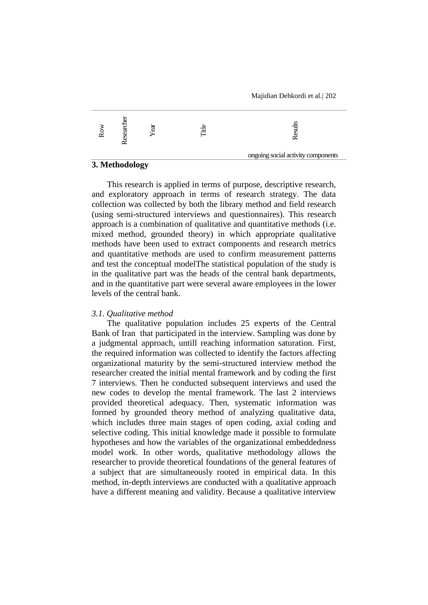

### **3. Methodology**

This research is applied in terms of purpose, descriptive research, and exploratory approach in terms of research strategy. The data collection was collected by both the library method and field research (using semi-structured interviews and questionnaires). This research approach is a combination of qualitative and quantitative methods (i.e. mixed method, grounded theory) in which appropriate qualitative methods have been used to extract components and research metrics and quantitative methods are used to confirm measurement patterns and test the conceptual modelThe statistical population of the study is in the qualitative part was the heads of the central bank departments, and in the quantitative part were several aware employees in the lower levels of the central bank.

#### *3.1. Qualitative method*

The qualitative population includes 25 experts of the Central Bank of Iran that participated in the interview. Sampling was done by a judgmental approach, untill reaching information saturation. First, the required information was collected to identify the factors affecting organizational maturity by the semi-structured interview method the researcher created the initial mental framework and by coding the first 7 interviews. Then he conducted subsequent interviews and used the new codes to develop the mental framework. The last 2 interviews provided theoretical adequacy. Then, systematic information was formed by grounded theory method of analyzing qualitative data, which includes three main stages of open coding, axial coding and selective coding. This initial knowledge made it possible to formulate hypotheses and how the variables of the organizational embeddedness model work. In other words, qualitative methodology allows the researcher to provide theoretical foundations of the general features of a subject that are simultaneously rooted in empirical data. In this method, in-depth interviews are conducted with a qualitative approach have a different meaning and validity. Because a qualitative interview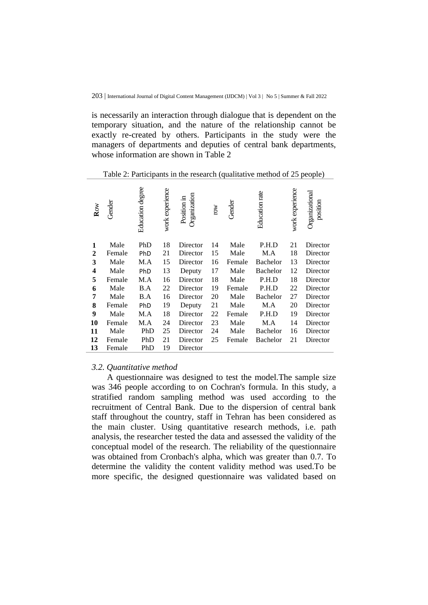is necessarily an interaction through dialogue that is dependent on the temporary situation, and the nature of the relationship cannot be exactly re-created by others. Participants in the study were the managers of departments and deputies of central bank departments, whose information are shown in Table 2

Table 2: Participants in the research (qualitative method of 25 people)

| Row          | Gender | Education degree | work experience | Organization<br>Position in | row | Gender | Education rate  | work experience | Organizational<br>position |
|--------------|--------|------------------|-----------------|-----------------------------|-----|--------|-----------------|-----------------|----------------------------|
| 1            | Male   | PhD              | 18              | Director                    | 14  | Male   | P.H.D           | 21              | Director                   |
| $\mathbf{2}$ | Female | PhD              | 21              | Director                    | 15  | Male   | M.A             | 18              | Director                   |
| 3            | Male   | M.A              | 15              | Director                    | 16  | Female | <b>Bachelor</b> | 13              | Director                   |
| 4            | Male   | PhD              | 13              | Deputy                      | 17  | Male   | <b>Bachelor</b> | 12              | Director                   |
| 5            | Female | M.A              | 16              | Director                    | 18  | Male   | P.H.D           | 18              | Director                   |
| 6            | Male   | B.A              | 22              | Director                    | 19  | Female | P.H.D           | 22              | Director                   |
| 7            | Male   | B.A              | 16              | Director                    | 20  | Male   | <b>Bachelor</b> | 27              | Director                   |
| 8            | Female | PhD              | 19              | Deputy                      | 21  | Male   | M.A             | 20              | Director                   |
| 9            | Male   | M.A              | 18              | Director                    | 22  | Female | P.H.D           | 19              | Director                   |
| 10           | Female | M.A              | 24              | Director                    | 23  | Male   | M.A             | 14              | Director                   |
| 11           | Male   | PhD              | 25              | Director                    | 24  | Male   | <b>Bachelor</b> | 16              | Director                   |
| 12           | Female | PhD              | 21              | Director                    | 25  | Female | <b>Bachelor</b> | 21              | Director                   |
| 13           | Female | PhD              | 19              | Director                    |     |        |                 |                 |                            |

#### *3.2. Quantitative method*

A questionnaire was designed to test the model.The sample size was 346 people according to on Cochran's formula. In this study, a stratified random sampling method was used according to the recruitment of Central Bank. Due to the dispersion of central bank staff throughout the country, staff in Tehran has been considered as the main cluster. Using quantitative research methods, i.e. path analysis, the researcher tested the data and assessed the validity of the conceptual model of the research. The reliability of the questionnaire was obtained from Cronbach's alpha, which was greater than 0.7. To determine the validity the content validity method was used.To be more specific, the designed questionnaire was validated based on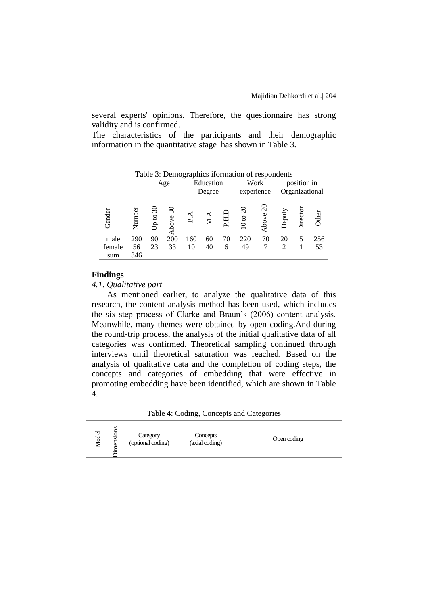several experts' opinions. Therefore, the questionnaire has strong validity and is confirmed.

The characteristics of the participants and their demographic information in the quantitative stage has shown in Table 3.

|        | Table 3: Demographics iformation of respondents |            |                                   |     |                     |    |                     |          |                |             |                |
|--------|-------------------------------------------------|------------|-----------------------------------|-----|---------------------|----|---------------------|----------|----------------|-------------|----------------|
|        |                                                 |            | Age                               |     | Education<br>Degree |    | experience          | Work     |                | position in | Organizational |
|        |                                                 |            |                                   |     |                     |    |                     |          |                |             |                |
| Gender | Number                                          | Up to $30$ | $\overline{\mathcal{E}}$<br>Above | ∞   |                     |    | $10 \text{ to } 20$ | Above 20 | Deputy         | Director    | Other          |
| male   | 290                                             | 90         | 200                               | 160 | 60                  | 70 | 220                 | 70       | 20             | 5           | 256            |
| female | 56                                              | 23         | 33                                | 10  | 40                  | 6  | 49                  |          | $\overline{c}$ |             | 53             |
| sum    | 346                                             |            |                                   |     |                     |    |                     |          |                |             |                |

#### **Findings**

#### *4.1. Qualitative part*

As mentioned earlier, to analyze the qualitative data of this research, the content analysis method has been used, which includes the six-step process of Clarke and Braun's (2006) content analysis. Meanwhile, many themes were obtained by open coding.And during the round-trip process, the analysis of the initial qualitative data of all categories was confirmed. Theoretical sampling continued through interviews until theoretical saturation was reached. Based on the analysis of qualitative data and the completion of coding steps, the concepts and categories of embedding that were effective in promoting embedding have been identified, which are shown in Table 4.

Table 4: Coding, Concepts and Categories

| s<br>ទី<br><b>a</b><br>Concepts<br>Category<br>nesi<br>Open coding<br>$\circ$<br>(optional coding)<br>(axial coding)<br>ー<br>∼<br>$\cdot$ $-$ |  |
|-----------------------------------------------------------------------------------------------------------------------------------------------|--|
|-----------------------------------------------------------------------------------------------------------------------------------------------|--|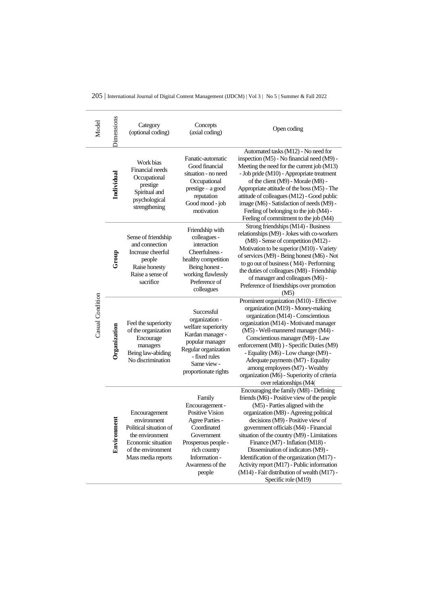|  | 205   International Journal of Digital Content Management (IJDCM)   Vol 3   No 5   Summer & Fall 2022 |  |  |
|--|-------------------------------------------------------------------------------------------------------|--|--|
|--|-------------------------------------------------------------------------------------------------------|--|--|

| Model            | Dimensions                                                                                                                      | Category<br>(optional coding)                                                                                                               | Concepts<br>(axial coding)                                                                                                                                                                       | Open coding                                                                                                                                                                                                                                                                                                                                                                                                                                                                                                                                |
|------------------|---------------------------------------------------------------------------------------------------------------------------------|---------------------------------------------------------------------------------------------------------------------------------------------|--------------------------------------------------------------------------------------------------------------------------------------------------------------------------------------------------|--------------------------------------------------------------------------------------------------------------------------------------------------------------------------------------------------------------------------------------------------------------------------------------------------------------------------------------------------------------------------------------------------------------------------------------------------------------------------------------------------------------------------------------------|
|                  | Individual                                                                                                                      | Work bias<br>Financial needs<br>Occupational<br>prestige<br>Spiritual and<br>psychological<br>strengthening                                 | Fanatic-automatic<br>Good financial<br>situation - no need<br>Occupational<br>prestige - a good<br>reputation<br>Good mood - job<br>motivation                                                   | Automated tasks (M12) - No need for<br>inspection (M5) - No financial need (M9) -<br>Meeting the need for the current job (M13)<br>- Job pride (M10) - Appropriate treatment<br>of the client (M9) - Morale (M8) -<br>Appropriate attitude of the boss (M5) - The<br>attitude of colleagues (M12) - Good public<br>image (M6) - Satisfaction of needs (M9) -<br>Feeling of belonging to the job (M4) -<br>Feeling of commitment to the job (M4)                                                                                            |
|                  | Sense of friendship<br>and connection<br>Increase cheerful<br>Group<br>people<br>Raise honesty<br>Raise a sense of<br>sacrifice |                                                                                                                                             | Friendship with<br>colleagues -<br>interaction<br>Cheerfulness -<br>healthy competition<br>Being honest -<br>working flawlessly<br>Preference of<br>colleagues                                   | Strong friendships (M14) - Business<br>relationships (M9) - Jokes with co-workers<br>(M8) - Sense of competition (M12) -<br>Motivation to be superior (M10) - Variety<br>of services (M9) - Being honest (M6) - Not<br>to go out of business (M4) - Performing<br>the duties of colleagues (M8) - Friendship<br>of manager and colleagues (M6) -<br>Preference of friendships over promotion<br>(M5)                                                                                                                                       |
| Casual Condition | Organization                                                                                                                    | Feel the superiority<br>of the organization<br>Encourage<br>managers<br>Being law-abiding<br>No discrimination                              | Successful<br>organization -<br>welfare superiority<br>Kardan manager -<br>popular manager<br>Regular organization<br>- fixed rules<br>Same view -<br>proportionate rights                       | Prominent organization (M10) - Effective<br>organization (M19) - Money-making<br>organization (M14) - Conscientious<br>organization (M14) - Motivated manager<br>(M5) - Well-mannered manager (M4) -<br>Conscientious manager (M9) - Law<br>enforcement (M8)) - Specific Duties (M9)<br>- Equality (M6) - Low change (M9) -<br>Adequate payments (M7) - Equality<br>among employees (M7) - Wealthy<br>organization (M6) - Superiority of criteria<br>over relationships (M4(                                                               |
|                  | Environment                                                                                                                     | Encouragement<br>environment<br>Political situation of<br>the environment<br>Economic situation<br>of the environment<br>Mass media reports | Family<br>Encouragement -<br><b>Positive Vision</b><br><b>Agree Parties -</b><br>Coordinated<br>Government<br>Prosperous people -<br>rich country<br>Information -<br>Awareness of the<br>people | Encouraging the family (M8) - Defining<br>friends (M6) - Positive view of the people<br>(M5) - Parties aligned with the<br>organization (M8) - Agreeing political<br>decisions (M9) - Positive view of<br>government officials (M4) - Financial<br>situation of the country (M9) - Limitations<br>Finance (M7) - Inflation (M18) -<br>Dissemination of indicators (M9) -<br>Identification of the organization (M17) -<br>Activity report (M17) - Public information<br>(M14) - Fair distribution of wealth (M17) -<br>Specific role (M19) |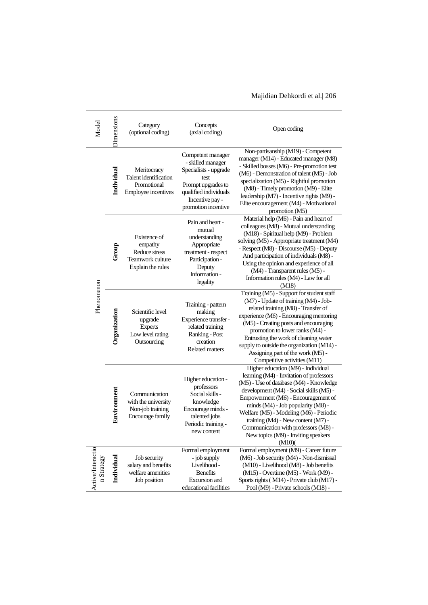| Model                           | <b>Dimensions</b>          | Category<br>(optional coding)                                                     | Concepts<br>(axial coding)                                                                                                                                       | Open coding                                                                                                                                                                                                                                                                                                                                                                                                                    |
|---------------------------------|----------------------------|-----------------------------------------------------------------------------------|------------------------------------------------------------------------------------------------------------------------------------------------------------------|--------------------------------------------------------------------------------------------------------------------------------------------------------------------------------------------------------------------------------------------------------------------------------------------------------------------------------------------------------------------------------------------------------------------------------|
|                                 | Individual                 | Meritocracy<br>Talent identification<br>Promotional<br><b>Employee incentives</b> | Competent manager<br>- skilled manager<br>Specialists - upgrade<br>test<br>Prompt upgrades to<br>qualified individuals<br>Incentive pay -<br>promotion incentive | Non-partisanship (M19) - Competent<br>manager (M14) - Educated manager (M8)<br>- Skilled bosses (M6) - Pre-promotion test<br>(M6) - Demonstration of talent (M5) - Job<br>specialization (M5) - Rightful promotion<br>(M8) - Timely promotion (M9) - Elite<br>leadership (M7) - Incentive rights (M9) -<br>Elite encouragement (M4) - Motivational<br>promotion (M5)                                                           |
|                                 | Group                      | Existence of<br>empathy<br>Reduce stress<br>Teamwork culture<br>Explain the rules | Pain and heart -<br>mutual<br>understanding<br>Appropriate<br>treatment - respect<br>Participation -<br>Deputy<br>Information -<br>legality                      | Material help (M6) - Pain and heart of<br>colleagues (M8) - Mutual understanding<br>(M18) - Spiritual help (M9) - Problem<br>solving (M5) - Appropriate treatment (M4)<br>- Respect (M8) - Discourse (M5) - Deputy<br>And participation of individuals (M8) -<br>Using the opinion and experience of all<br>(M4) - Transparent rules (M5) -<br>Information rules (M4) - Law for all<br>(M18)                                   |
|                                 | Phenomenon<br>Organization | Scientific level<br>upgrade<br>Experts<br>Low level rating<br>Outsourcing         | Training - pattern<br>making<br>Experience transfer -<br>related training<br>Ranking - Post<br>creation<br><b>Related matters</b>                                | Training (M5) - Support for student staff<br>(M7) - Update of training (M4) - Job-<br>related training (M8) - Transfer of<br>experience (M6) - Encouraging mentoring<br>(M5) - Creating posts and encouraging<br>promotion to lower ranks (M4) -<br>Entrusting the work of cleaning water<br>supply to outside the organization (M14) -<br>Assigning part of the work (M5) -<br>Competitive activities (M11)                   |
|                                 | Environment                | Communication<br>with the university<br>Non-job training<br>Encourage family      | Higher education -<br>professors<br>Social skills -<br>knowledge<br>Encourage minds -<br>talented jobs<br>Periodic training -<br>new content                     | Higher education (M9) - Individual<br>learning (M4) - Invitation of professors<br>(M5) - Use of database (M4) - Knowledge<br>development (M4) - Social skills (M5) -<br>Empowerment (M6) - Encouragement of<br>minds (M4) - Job popularity (M8) -<br>Welfare (M5) - Modeling (M6) - Periodic<br>training $(M4)$ - New content $(M7)$ -<br>Communication with professors (M8) -<br>New topics (M9) - Inviting speakers<br>(M10) |
| Active/Interactio<br>n Strategy | Individual                 | Job security<br>salary and benefits<br>welfare amenities<br>Job position          | Formal employment<br>- job supply<br>Livelihood -<br><b>Benefits</b><br><b>Excursion</b> and<br>educational facilities                                           | Formal employment (M9) - Career future<br>(M6) - Job security (M4) - Non-dismissal<br>(M10) - Livelihood (M8) - Job benefits<br>(M15) - Overtime (M5) - Work (M9) -<br>Sports rights (M14) - Private club (M17) -<br>Pool (M9) - Private schools (M18) -                                                                                                                                                                       |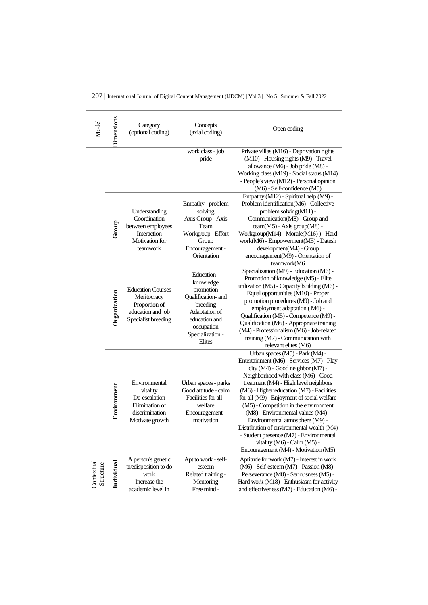|  | 207   International Journal of Digital Content Management (IJDCM)   Vol 3   No 5   Summer & Fall 2022 |  |  |  |  |
|--|-------------------------------------------------------------------------------------------------------|--|--|--|--|
|--|-------------------------------------------------------------------------------------------------------|--|--|--|--|

| Model                   | Dimensions   | Category<br>(optional coding)                                                                        | Concepts<br>(axial coding)                                                                                                                            | Open coding                                                                                                                                                                                                                                                                                                                                                                                                                                                                                                                                                                  |
|-------------------------|--------------|------------------------------------------------------------------------------------------------------|-------------------------------------------------------------------------------------------------------------------------------------------------------|------------------------------------------------------------------------------------------------------------------------------------------------------------------------------------------------------------------------------------------------------------------------------------------------------------------------------------------------------------------------------------------------------------------------------------------------------------------------------------------------------------------------------------------------------------------------------|
|                         |              |                                                                                                      | work class - job<br>pride                                                                                                                             | Private villas (M16) - Deprivation rights<br>(M10) - Housing rights (M9) - Travel<br>allowance (M6) - Job pride (M8) -<br>Working class (M19) - Social status (M14)<br>- People's view (M12) - Personal opinion<br>(M6) - Self-confidence (M5)                                                                                                                                                                                                                                                                                                                               |
|                         | Group        | Understanding<br>Coordination<br>between employees<br>Interaction<br>Motivation for<br>teamwork      | Empathy - problem<br>solving<br>Axis Group - Axis<br>Team<br>Workgroup - Effort<br>Group<br>Encouragement -<br>Orientation                            | Empathy (M12) - Spiritual help (M9) -<br>Problem identification(M6) - Collective<br>problem solving(M11) -<br>Communication(M8) - Group and<br>team(M5) - Axis group(M8) -<br>Workgroup(M14) - Morale(M16)) - Hard<br>work(M6) - Empowerment(M5) - Datesh<br>development(M4) - Group<br>encouragement(M9) - Orientation of<br>teamwork(M6                                                                                                                                                                                                                                    |
|                         | Organization | <b>Education Courses</b><br>Meritocracy<br>Proportion of<br>education and job<br>Specialist breeding | Education -<br>knowledge<br>promotion<br>Qualification- and<br>breeding<br>Adaptation of<br>education and<br>occupation<br>Specialization -<br>Elites | Specialization (M9) - Education (M6) -<br>Promotion of knowledge (M5) - Elite<br>utilization (M5) - Capacity building (M6) -<br>Equal opportunities (M10) - Proper<br>promotion procedures (M9) - Job and<br>employment adaptation (M6) -<br>Qualification (M5) - Competence (M9) -<br>Qualification (M6) - Appropriate training<br>(M4) - Professionalism (M6) - Job-related<br>training (M7) - Communication with<br>relevant elites (M6)                                                                                                                                  |
|                         | Environment  | Environmental<br>vitality<br>De-escalation<br>Elimination of<br>discrimination<br>Motivate growth    | Urban spaces - parks<br>Good attitude - calm<br>Facilities for all -<br>welfare<br>Encouragement -<br>motivation                                      | Urban spaces (M5) - Park (M4) -<br>Entertainment (M6) - Services (M7) - Play<br>city (M4) - Good neighbor (M7) -<br>Neighborhood with class (M6) - Good<br>treatment (M4) - High level neighbors<br>(M6) - Higher education (M7) - Facilities<br>for all (M9) - Enjoyment of social welfare<br>(M5) - Competition in the environment<br>(M8) - Environmental values (M4) -<br>Environmental atmosphere (M9) -<br>Distribution of environmental wealth (M4)<br>- Student presence (M7) - Environmental<br>vitality (M6) - Calm (M5) -<br>Encouragement (M4) - Motivation (M5) |
| Contextual<br>Structure | Individual   | A person's genetic<br>predisposition to do<br>work<br>Increase the<br>academic level in              | Apt to work - self-<br>esteem<br>Related training -<br>Mentoring<br>Free mind -                                                                       | Aptitude for work (M7) - Interest in work<br>(M6) - Self-esteem (M7) - Passion (M8) -<br>Perseverance (M8) - Seriousness (M5) -<br>Hard work (M18) - Enthusiasm for activity<br>and effectiveness (M7) - Education (M6) -                                                                                                                                                                                                                                                                                                                                                    |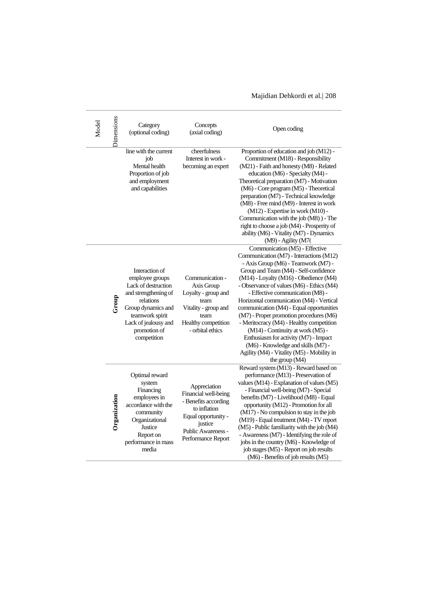| Model | Dimensions   | Category<br>(optional coding)                                                                                                                                                                 | Concepts<br>(axial coding)                                                                                                                                 | Open coding                                                                                                                                                                                                                                                                                                                                                                                                                                                                                                                                                                                                                                               |
|-------|--------------|-----------------------------------------------------------------------------------------------------------------------------------------------------------------------------------------------|------------------------------------------------------------------------------------------------------------------------------------------------------------|-----------------------------------------------------------------------------------------------------------------------------------------------------------------------------------------------------------------------------------------------------------------------------------------------------------------------------------------------------------------------------------------------------------------------------------------------------------------------------------------------------------------------------------------------------------------------------------------------------------------------------------------------------------|
|       |              | line with the current<br>job<br>Mental health<br>Proportion of job<br>and employment<br>and capabilities                                                                                      | cheerfulness<br>Interest in work -<br>becoming an expert                                                                                                   | Proportion of education and job (M12) -<br>Commitment (M18) - Responsibility<br>(M21) - Faith and honesty (M8) - Related<br>education (M6) - Specialty (M4) -<br>Theoretical preparation (M7) - Motivation<br>(M6) - Core program (M5) - Theoretical<br>preparation (M7) - Technical knowledge<br>(M8) - Free mind (M9) - Interest in work<br>(M12) - Expertise in work (M10) -<br>Communication with the job (M8)) - The<br>right to choose a job (M4) - Prosperity of<br>ability (M6) - Vitality (M7) - Dynamics<br>(M9) - Agility (M7(                                                                                                                 |
|       | Group        | Interaction of<br>employee groups<br>Lack of destruction<br>and strengthening of<br>relations<br>Group dynamics and<br>teamwork spirit<br>Lack of jealousy and<br>promotion of<br>competition | Communication -<br>Axis Group<br>Loyalty - group and<br>team<br>Vitality - group and<br>team<br>Healthy competition<br>- orbital ethics                    | Communication (M5) - Effective<br>Communication (M7) - Interactions (M12)<br>- Axis Group (M6) - Teamwork (M7) -<br>Group and Team (M4) - Self-confidence<br>(M14) - Loyalty (M16) - Obedience (M4)<br>- Observance of values (M6) - Ethics (M4)<br>- Effective communication (M8) -<br>Horizontal communication (M4) - Vertical<br>communication (M4) - Equal opportunities<br>(M7) - Proper promotion procedures (M6)<br>- Meritocracy (M4) - Healthy competition<br>(M14) - Continuity at work (M5) -<br>Enthusiasm for activity (M7) - Impact<br>(M6) - Knowledge and skills (M7) -<br>Agility (M4) - Vitality (M5) - Mobility in<br>the group $(M4)$ |
|       | Organization | Optimal reward<br>system<br>Financing<br>employees in<br>accordance with the<br>community<br>Organizational<br>Justice<br>Report on<br>performance in mass<br>media                           | Appreciation<br>Financial well-being<br>- Benefits according<br>to inflation<br>Equal opportunity -<br>justice<br>Public Awareness -<br>Performance Report | Reward system (M13) - Reward based on<br>performance (M13) - Preservation of<br>values (M14) - Explanation of values (M5)<br>- Financial well-being (M7) - Special<br>benefits (M7) - Livelihood (M8) - Equal<br>opportunity (M12) - Promotion for all<br>(M17) - No compulsion to stay in the job<br>(M19) - Equal treatment (M4) - TV report<br>(M5) - Public familiarity with the job (M4)<br>- Awareness (M7) - Identifying the role of<br>jobs in the country (M6) - Knowledge of<br>job stages (M5) - Report on job results<br>(M6) - Benefits of job results (M5)                                                                                  |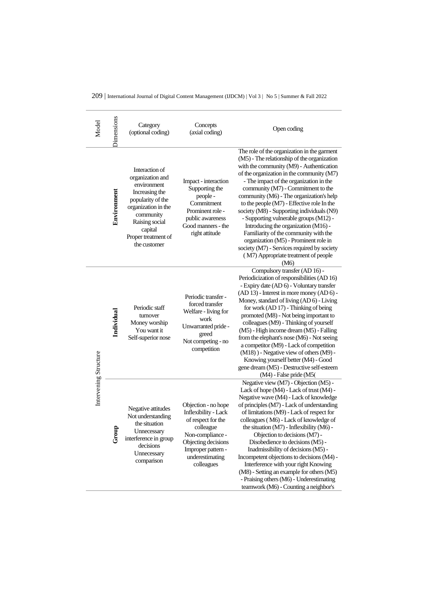|  |  |  |  |  |  | 209   International Journal of Digital Content Management (IJDCM)   Vol 3   No 5   Summer & Fall 2022 |
|--|--|--|--|--|--|-------------------------------------------------------------------------------------------------------|
|--|--|--|--|--|--|-------------------------------------------------------------------------------------------------------|

| Model                 | Dimensions                                                                                                                                             | Category<br>(optional coding)                                                                                                                                                                    | Concepts<br>(axial coding)                                                                                                                                                              | Open coding                                                                                                                                                                                                                                                                                                                                                                                                                                                                                                                                                                                                                                                                     |
|-----------------------|--------------------------------------------------------------------------------------------------------------------------------------------------------|--------------------------------------------------------------------------------------------------------------------------------------------------------------------------------------------------|-----------------------------------------------------------------------------------------------------------------------------------------------------------------------------------------|---------------------------------------------------------------------------------------------------------------------------------------------------------------------------------------------------------------------------------------------------------------------------------------------------------------------------------------------------------------------------------------------------------------------------------------------------------------------------------------------------------------------------------------------------------------------------------------------------------------------------------------------------------------------------------|
|                       | Environment                                                                                                                                            | Interaction of<br>organization and<br>environment<br>Increasing the<br>popularity of the<br>organization in the<br>community<br>Raising social<br>capital<br>Proper treatment of<br>the customer | Impact - interaction<br>Supporting the<br>people -<br>Commitment<br>Prominent role -<br>public awareness<br>Good manners - the<br>right attitude                                        | The role of the organization in the garment<br>(M5) - The relationship of the organization<br>with the community (M9) - Authentication<br>of the organization in the community (M7)<br>- The impact of the organization in the<br>community (M7) - Commitment to the<br>community (M6) - The organization's help<br>to the people (M7) - Effective role In the<br>society (M8) - Supporting individuals (N9)<br>- Supporting vulnerable groups (M12) -<br>Introducing the organization (M16) -<br>Familiarity of the community with the<br>organization (M5) - Prominent role in<br>society (M7) - Services required by society<br>(M7) Appropriate treatment of people<br>(M6) |
|                       | Individual                                                                                                                                             | Periodic staff<br>turnover<br>Money worship<br>You want it<br>Self-superior nose                                                                                                                 | Periodic transfer -<br>forced transfer<br>Welfare - living for<br>work<br>Unwarranted pride -<br>greed<br>Not competing - no<br>competition                                             | Compulsory transfer (AD 16) -<br>Periodicization of responsibilities (AD 16)<br>- Expiry date (AD 6) - Voluntary transfer<br>(AD 13) - Interest in more money (AD 6) -<br>Money, standard of living (AD 6) - Living<br>for work (AD 17) - Thinking of being<br>promoted (M8) - Not being important to<br>colleagues (M9) - Thinking of yourself<br>(M5) - High income dream (M5) - Falling<br>from the elephant's nose (M6) - Not seeing<br>a competitor (M9) - Lack of competition<br>(M18) ) - Negative view of others (M9) -<br>Knowing yourself better (M4) - Good<br>gene dream (M5) - Destructive self-esteem<br>(M4) - False pride (M5)                                  |
| Intervening Structure | Negative attitudes<br>Not understanding<br>the situation<br>gn<br>Unnecessary<br>සි<br>interference in group<br>decisions<br>Unnecessary<br>comparison |                                                                                                                                                                                                  | Objection - no hope<br><b>Inflexibility - Lack</b><br>of respect for the<br>colleague<br>Non-compliance -<br>Objecting decisions<br>Improper pattern -<br>underestimating<br>colleagues | Negative view (M7) - Objection (M5) -<br>Lack of hope (M4) - Lack of trust (M4) -<br>Negative wave (M4) - Lack of knowledge<br>of principles (M7) - Lack of understanding<br>of limitations (M9) - Lack of respect for<br>colleagues (M6) - Lack of knowledge of<br>the situation (M7) - Inflexibility (M6) -<br>Objection to decisions (M7) -<br>Disobedience to decisions (M5) -<br>Inadmissibility of decisions (M5) -<br>Incompetent objections to decisions (M4) -<br>Interference with your right Knowing<br>(M8) - Setting an example for others (M5)<br>- Praising others (M6) - Underestimating<br>teamwork (M6) - Counting a neighbor's                               |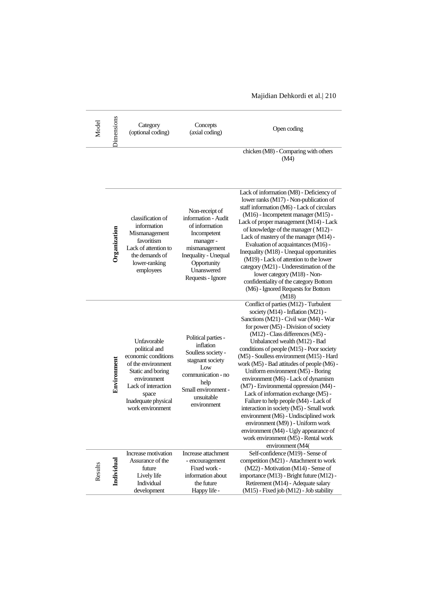| Model   | <b>Jimensions</b> | Category<br>(optional coding)                                                                                                                                                            | Concepts<br>(axial coding)                                                                                                                                                    | Open coding                                                                                                                                                                                                                                                                                                                                                                                                                                                                                                                                                                                                                                                                                                                                                                                                 |
|---------|-------------------|------------------------------------------------------------------------------------------------------------------------------------------------------------------------------------------|-------------------------------------------------------------------------------------------------------------------------------------------------------------------------------|-------------------------------------------------------------------------------------------------------------------------------------------------------------------------------------------------------------------------------------------------------------------------------------------------------------------------------------------------------------------------------------------------------------------------------------------------------------------------------------------------------------------------------------------------------------------------------------------------------------------------------------------------------------------------------------------------------------------------------------------------------------------------------------------------------------|
|         |                   |                                                                                                                                                                                          |                                                                                                                                                                               | chicken (M8) - Comparing with others<br>(M4)                                                                                                                                                                                                                                                                                                                                                                                                                                                                                                                                                                                                                                                                                                                                                                |
|         | Organization      | classification of<br>information<br>Mismanagement<br>favoritism<br>Lack of attention to<br>the demands of<br>lower-ranking<br>employees                                                  | Non-receipt of<br>information - Audit<br>of information<br>Incompetent<br>manager-<br>mismanagement<br>Inequality - Unequal<br>Opportunity<br>Unanswered<br>Requests - Ignore | Lack of information (M8) - Deficiency of<br>lower ranks (M17) - Non-publication of<br>staff information (M6) - Lack of circulars<br>(M16) - Incompetent manager (M15) -<br>Lack of proper management (M14) - Lack<br>of knowledge of the manager (M12) -<br>Lack of mastery of the manager (M14) -<br>Evaluation of acquaintances (M16) -<br>Inequality (M18) - Unequal opportunities<br>(M19) - Lack of attention to the lower<br>category (M21) - Underestimation of the<br>lower category (M18) - Non-<br>confidentiality of the category Bottom<br>(M6) - Ignored Requests for Bottom<br>(M18)                                                                                                                                                                                                          |
|         | Environment       | Unfavorable<br>political and<br>economic conditions<br>of the environment<br>Static and boring<br>environment<br>Lack of interaction<br>space<br>Inadequate physical<br>work environment | Political parties -<br>inflation<br>Soulless society -<br>stagnant society<br>Low<br>communication - no<br>help<br>Small environment -<br>unsuitable<br>environment           | Conflict of parties (M12) - Turbulent<br>society (M14) - Inflation (M21) -<br>Sanctions (M21) - Civil war (M4) - War<br>for power (M5) - Division of society<br>(M12) - Class differences (M5) -<br>Unbalanced wealth (M12) - Bad<br>conditions of people (M15) - Poor society<br>(M5) - Soulless environment (M15) - Hard<br>work (M5) - Bad attitudes of people (M6) -<br>Uniform environment (M5) - Boring<br>environment (M6) - Lack of dynamism<br>(M7) - Environmental oppression (M4) -<br>Lack of information exchange (M5) -<br>Failure to help people (M4) - Lack of<br>interaction in society (M5) - Small work<br>environment (M6) - Undisciplined work<br>environment (M9)) - Uniform work<br>environment (M4) - Ugly appearance of<br>work environment (M5) - Rental work<br>environment (M4) |
| Results | Individual        | Increase motivation<br>Assurance of the<br>future<br>Lively life<br>Individual<br>development                                                                                            | Increase attachment<br>- encouragement<br>Fixed work -<br>information about<br>the future<br>Happy life -                                                                     | Self-confidence (M19) - Sense of<br>competition (M21) - Attachment to work<br>(M22) - Motivation (M14) - Sense of<br>importance (M13) - Bright future (M12) -<br>Retirement (M14) - Adequate salary<br>(M15) - Fixed job (M12) - Job stability                                                                                                                                                                                                                                                                                                                                                                                                                                                                                                                                                              |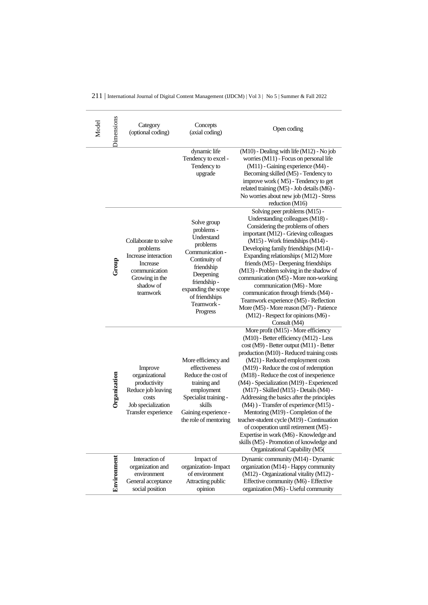|  | 211   International Journal of Digital Content Management (IJDCM)   Vol 3   No 5   Summer & Fall 2022 |  |  |  |
|--|-------------------------------------------------------------------------------------------------------|--|--|--|
|--|-------------------------------------------------------------------------------------------------------|--|--|--|

| Model | <b>Jimensions</b> | Category<br>(optional coding)                                                                                                    | Concepts<br>(axial coding)                                                                                                                                                                           | Open coding                                                                                                                                                                                                                                                                                                                                                                                                                                                                                                                                                                                                                                                                                                                           |
|-------|-------------------|----------------------------------------------------------------------------------------------------------------------------------|------------------------------------------------------------------------------------------------------------------------------------------------------------------------------------------------------|---------------------------------------------------------------------------------------------------------------------------------------------------------------------------------------------------------------------------------------------------------------------------------------------------------------------------------------------------------------------------------------------------------------------------------------------------------------------------------------------------------------------------------------------------------------------------------------------------------------------------------------------------------------------------------------------------------------------------------------|
|       |                   |                                                                                                                                  | dynamic life<br>Tendency to excel -<br>Tendency to<br>upgrade                                                                                                                                        | (M10) - Dealing with life (M12) - No job<br>worries (M11) - Focus on personal life<br>(M11) - Gaining experience (M4) -<br>Becoming skilled (M5) - Tendency to<br>improve work (M5) - Tendency to get<br>related training (M5) - Job details (M6) -<br>No worries about new job (M12) - Stress<br>reduction (M16)                                                                                                                                                                                                                                                                                                                                                                                                                     |
|       | Group             | Collaborate to solve<br>problems<br>Increase interaction<br>Increase<br>communication<br>Growing in the<br>shadow of<br>teamwork | Solve group<br>problems -<br>Understand<br>problems<br>Communication -<br>Continuity of<br>friendship<br>Deepening<br>friendship-<br>expanding the scope<br>of friendships<br>Teamwork -<br>Progress | Solving peer problems (M15) -<br>Understanding colleagues (M18) -<br>Considering the problems of others<br>important (M12) - Grieving colleagues<br>(M15) - Work friendships (M14) -<br>Developing family friendships (M14) -<br>Expanding relationships (M12) More<br>friends (M5) - Deepening friendships<br>(M13) - Problem solving in the shadow of<br>communication (M5) - More non-working<br>communication (M6) - More<br>communication through friends (M4) -<br>Teamwork experience (M5) - Reflection<br>More (M5) - More reason (M7) - Patience<br>(M12) - Respect for opinions (M6) -<br>Consult (M4)                                                                                                                      |
|       | Organization      | Improve<br>organizational<br>productivity<br>Reduce job leaving<br>costs<br>Job specialization<br>Transfer experience            | More efficiency and<br>effectiveness<br>Reduce the cost of<br>training and<br>employment<br>Specialist training -<br>skills<br>Gaining experience -<br>the role of mentoring                         | More profit (M15) - More efficiency<br>(M10) - Better efficiency (M12) - Less<br>cost (M9) - Better output (M11) - Better<br>production (M10) - Reduced training costs<br>(M21) - Reduced employment costs<br>(M19) - Reduce the cost of redemption<br>(M18) - Reduce the cost of inexperience<br>(M4) - Specialization (M19) - Experienced<br>(M17) - Skilled (M15) - Details (M4) -<br>Addressing the basics after the principles<br>(M4) ) - Transfer of experience (M15) -<br>Mentoring (M19) - Completion of the<br>teacher-student cycle (M19) - Continuation<br>of cooperation until retirement (M5) -<br>Expertise in work (M6) - Knowledge and<br>skills (M5) - Promotion of knowledge and<br>Organizational Capability (M5( |
|       | Environmen        | Interaction of<br>organization and<br>environment<br>General acceptance<br>social position                                       | Impact of<br>organization-Impact<br>of environment<br>Attracting public<br>opinion                                                                                                                   | Dynamic community (M14) - Dynamic<br>organization (M14) - Happy community<br>(M12) - Organizational vitality (M12) -<br>Effective community (M6) - Effective<br>organization (M6) - Useful community                                                                                                                                                                                                                                                                                                                                                                                                                                                                                                                                  |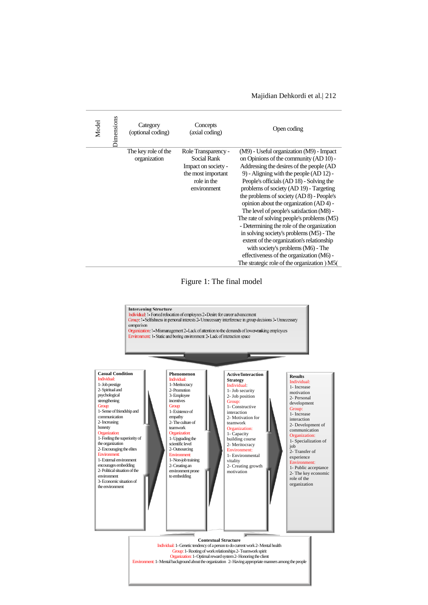| Model | Dimensions | Category<br>(optional coding)       | Concepts<br>(axial coding)                                                                                    | Open coding                                                                                                                                                                                                                                                                                                                                                                                                                                                                                                                                                                                                                                                                                                                  |
|-------|------------|-------------------------------------|---------------------------------------------------------------------------------------------------------------|------------------------------------------------------------------------------------------------------------------------------------------------------------------------------------------------------------------------------------------------------------------------------------------------------------------------------------------------------------------------------------------------------------------------------------------------------------------------------------------------------------------------------------------------------------------------------------------------------------------------------------------------------------------------------------------------------------------------------|
|       |            | The key role of the<br>organization | Role Transparency -<br>Social Rank<br>Impact on society -<br>the most important<br>role in the<br>environment | (M9) - Useful organization (M9) - Impact<br>on Opinions of the community (AD 10) -<br>Addressing the desires of the people (AD<br>9) - Aligning with the people (AD 12) -<br>People's officials (AD 18) - Solving the<br>problems of society (AD 19) - Targeting<br>the problems of society (AD 8) - People's<br>opinion about the organization (AD 4) -<br>The level of people's satisfaction (M8) -<br>The rate of solving people's problems (M5)<br>- Determining the role of the organization<br>in solving society's problems (M5) - The<br>extent of the organization's relationship<br>with society's problems (M6) - The<br>effectiveness of the organization (M6) -<br>The strategic role of the organization ) M5( |

Figure 1: The final model

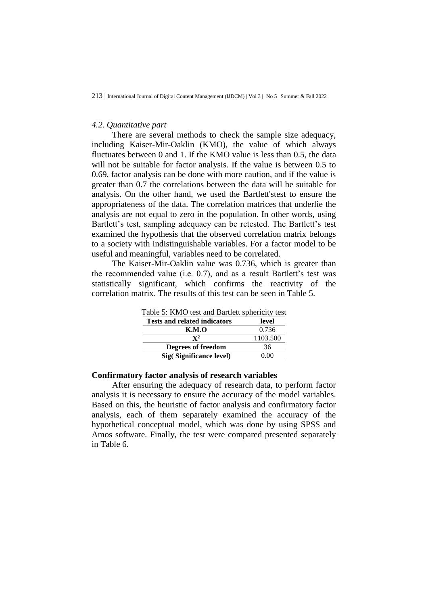#### *4.2. Quantitative part*

There are several methods to check the sample size adequacy, including Kaiser-Mir-Oaklin (KMO), the value of which always fluctuates between 0 and 1. If the KMO value is less than 0.5, the data will not be suitable for factor analysis. If the value is between 0.5 to 0.69, factor analysis can be done with more caution, and if the value is greater than 0.7 the correlations between the data will be suitable for analysis. On the other hand, we used the Bartlett'stest to ensure the appropriateness of the data. The correlation matrices that underlie the analysis are not equal to zero in the population. In other words, using Bartlett's test, sampling adequacy can be retested. The Bartlett's test examined the hypothesis that the observed correlation matrix belongs to a society with indistinguishable variables. For a factor model to be useful and meaningful, variables need to be correlated.

The Kaiser-Mir-Oaklin value was 0.736, which is greater than the recommended value (i.e. 0.7), and as a result Bartlett's test was statistically significant, which confirms the reactivity of the correlation matrix. The results of this test can be seen in Table 5.

| Table 5: KMO test and Bartlett sphericity test |          |
|------------------------------------------------|----------|
| <b>Tests and related indicators</b>            | level    |
| <b>K.M.O</b>                                   | 0.736    |
| $\mathbf{Y}^2$                                 | 1103.500 |
| <b>Degrees of freedom</b>                      | 36       |
| Sig(Significance level)                        | (100)    |

**Confirmatory factor analysis of research variables**

After ensuring the adequacy of research data, to perform factor analysis it is necessary to ensure the accuracy of the model variables. Based on this, the heuristic of factor analysis and confirmatory factor analysis, each of them separately examined the accuracy of the hypothetical conceptual model, which was done by using SPSS and Amos software. Finally, the test were compared presented separately in Table 6.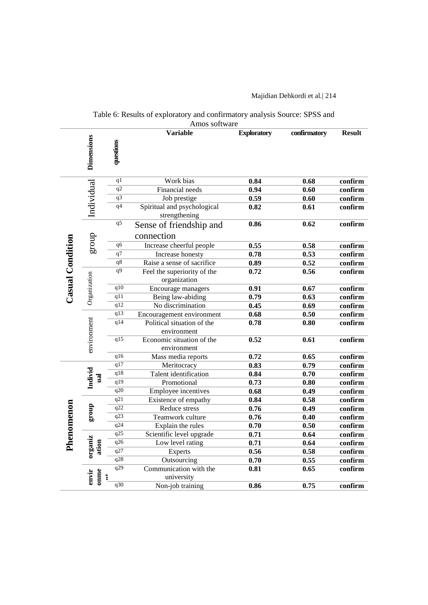#### Table 6: Results of exploratory and confirmatory analysis Source: SPSS and Amos software

|                  |                    |                  | Allius suitwait<br><b>Variable</b>           | <b>Exploratory</b> | confirmatory | <b>Result</b>               |
|------------------|--------------------|------------------|----------------------------------------------|--------------------|--------------|-----------------------------|
|                  | <b>Dimensions</b>  | questions        |                                              |                    |              |                             |
|                  |                    | q <sub>1</sub>   | Work bias                                    | 0.84               | 0.68         | confirm                     |
|                  |                    | q2               | Financial needs                              | 0.94               | 0.60         | confirm                     |
|                  |                    | $\overline{q3}$  | Job prestige                                 | 0.59               | 0.60         | confirm                     |
|                  | Individual         | q4               | Spiritual and psychological<br>strengthening | 0.82               | 0.61         | confirm                     |
|                  |                    | q5               | Sense of friendship and                      | 0.86               | 0.62         | $\overline{\text{confirm}}$ |
|                  | group              |                  | connection                                   |                    |              |                             |
|                  |                    | $\overline{q6}$  | Increase cheerful people                     | 0.55               | 0.58         | confirm                     |
|                  |                    |                  | Increase honesty                             | 0.78               | 0.53         | confirm                     |
|                  |                    | $\overline{q8}$  | Raise a sense of sacrifice                   | 0.89               | 0.52         | confirm                     |
| Casual Condition | Organization       | $\overline{q9}$  | Feel the superiority of the<br>organization  | 0.72               | 0.56         | confirm                     |
|                  |                    | q10              | Encourage managers                           | 0.91               | 0.67         | confirm                     |
|                  |                    | $q\overline{11}$ | Being law-abiding                            | 0.79               | 0.63         | confirm                     |
|                  |                    | q12              | No discrimination                            | 0.45               | 0.69         | confirm                     |
|                  |                    | q13              | Encouragement environment                    | 0.68               | 0.50         | confirm                     |
|                  |                    | $q1\overline{4}$ | Political situation of the                   | 0.78               | 0.80         | confirm                     |
|                  | environment        |                  | environment                                  |                    |              |                             |
|                  |                    | q15              | Economic situation of the<br>environment     | 0.52               | 0.61         | confirm                     |
|                  |                    | q16              | Mass media reports                           | 0.72               | 0.65         | confirm                     |
|                  |                    | q17              | Meritocracy                                  | 0.83               | 0.79         | confirm                     |
|                  | Individ            | $\overline{q18}$ | Talent identification                        | 0.84               | 0.70         | confirm                     |
|                  | ual                | $\overline{q19}$ | Promotional                                  | 0.73               | 0.80         | confirm                     |
|                  |                    | q20              | <b>Employee incentives</b>                   | 0.68               | 0.49         | confirm                     |
|                  |                    | q21              | Existence of empathy                         | 0.84               | 0.58         | confirm                     |
|                  | group              | q22              | Reduce stress                                | 0.76               | 0.49         | confirm                     |
|                  |                    | q23              | Teamwork culture                             | 0.76               | 0.40         | confirm                     |
| Phenomenon       |                    | q24              | Explain the rules                            | 0.70               | 0.50         | confirm                     |
|                  |                    | q25              | Scientific level upgrade                     | 0.71               | 0.64         | confirm                     |
|                  | organiz<br>ation   | q26              | Low level rating                             | 0.71               | 0.64         | confirm                     |
|                  |                    | $\overline{q27}$ | <b>Experts</b>                               | 0.56               | 0.58         | confirm                     |
|                  |                    | q28              | Outsourcing                                  | 0.70               | 0.55         | confirm                     |
|                  | omme<br>envir<br>ţ | q29              | Communication with the<br>university         | 0.81               | 0.65         | confirm                     |
|                  |                    | q30              | Non-job training                             | 0.86               | 0.75         | confirm                     |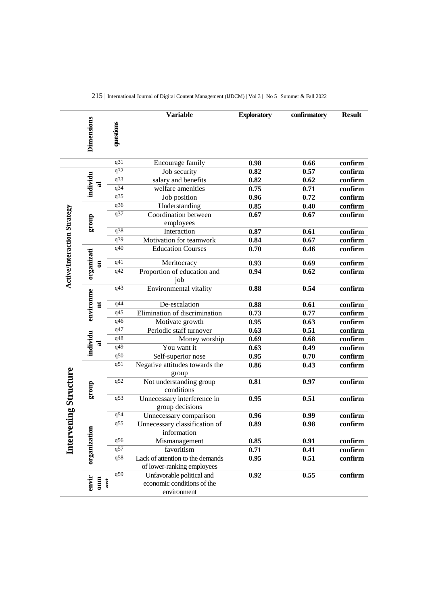| <b>Dimensions</b><br>questions |                                     |                  | <b>Variable</b>                                                | <b>Exploratory</b> | confirmatory | <b>Result</b> |
|--------------------------------|-------------------------------------|------------------|----------------------------------------------------------------|--------------------|--------------|---------------|
|                                |                                     | q31              | Encourage family                                               | 0.98               | 0.66         | confirm       |
|                                |                                     | q32              | Job security                                                   | 0.82               | 0.57         | confirm       |
|                                | ಸ                                   | q33              | salary and benefits                                            | 0.82               | 0.62         | confirm       |
|                                | individu                            | q34              | welfare amenities                                              | 0.75               | 0.71         | confirm       |
|                                |                                     | q35              | Job position                                                   | 0.96               | 0.72         | confirm       |
|                                |                                     | q36              | Understanding                                                  | 0.85               | 0.40         | confirm       |
|                                |                                     | q37              | Coordination between                                           | 0.67               | 0.67         | confirm       |
|                                | dno.18                              |                  | employees                                                      |                    |              |               |
|                                |                                     | q38              | Interaction                                                    | 0.87               | 0.61         | confirm       |
|                                |                                     | q39              | Motivation for teamwork                                        | 0.84               | 0.67         | confirm       |
|                                |                                     | q40              | <b>Education Courses</b>                                       | 0.70               | 0.46         | confirm       |
|                                | $\overline{\mathbf{a}}$             | q41              | Meritocracy                                                    | 0.93               | 0.69         | confirm       |
| Active/Interaction Strategy    | organizati                          | q42              | Proportion of education and<br>job                             | 0.94               | 0.62         | confirm       |
|                                | environme                           | q43              | Environmental vitality                                         | 0.88               | 0.54         | confirm       |
|                                | Ħ                                   | q44              | De-escalation                                                  | 0.88               | 0.61         | confirm       |
|                                |                                     | q45              | Elimination of discrimination                                  | 0.73               | 0.77         | confirm       |
|                                |                                     | q46              | Motivate growth                                                | 0.95               | 0.63         | confirm       |
|                                |                                     | q47              | Periodic staff turnover                                        | 0.63               | 0.51         | confirm       |
|                                | individu                            | q48              | Money worship                                                  | 0.69               | 0.68         | confirm       |
|                                | ಸ                                   | q49              | You want it                                                    | 0.63               | 0.49         | confirm       |
|                                |                                     | q50              | Self-superior nose                                             | 0.95               | 0.70         | confirm       |
|                                |                                     | q51              | Negative attitudes towards the<br>group                        | 0.86               | 0.43         | confirm       |
|                                | group                               | q52              | Not understanding group<br>conditions                          | 0.81               | 0.97         | confirm       |
| ning Structure                 |                                     | q53              | Unnecessary interference in<br>group decisions                 | 0.95               | 0.51         | confirm       |
|                                |                                     | q54              | Unnecessary comparison                                         | 0.96               | 0.99         | confirm       |
| Interver                       |                                     | $\overline{q55}$ | Unnecessary classification of<br>information                   | $\overline{0.89}$  | 0.98         | confirm       |
|                                |                                     | q56              | Mismanagement                                                  | 0.85               | 0.91         | confirm       |
|                                |                                     | q57              | favoritism                                                     | 0.71               | 0.41         | confirm       |
|                                | organization                        | q58              | Lack of attention to the demands<br>of lower-ranking employees | 0.95               | 0.51         | confirm       |
|                                | envir<br>$\sum_{\alpha=1}^{\infty}$ | q59              | Unfavorable political and<br>economic conditions of the        | 0.92               | 0.55         | confirm       |
|                                |                                     |                  | environment                                                    |                    |              |               |

|  |  |  |  |  |  | 215   International Journal of Digital Content Management (IJDCM)   Vol 3   No 5   Summer & Fall 2022 |
|--|--|--|--|--|--|-------------------------------------------------------------------------------------------------------|
|--|--|--|--|--|--|-------------------------------------------------------------------------------------------------------|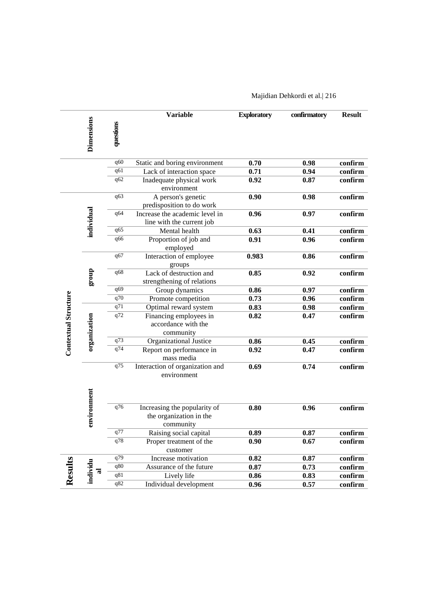|                             |                   |           | <b>Variable</b>                                                      | <b>Exploratory</b> | confirmatory | <b>Result</b>               |
|-----------------------------|-------------------|-----------|----------------------------------------------------------------------|--------------------|--------------|-----------------------------|
|                             | <b>Dimensions</b> | questions |                                                                      |                    |              |                             |
|                             |                   | q60       | Static and boring environment                                        | 0.70               | 0.98         | confirm                     |
|                             |                   | q61       | Lack of interaction space                                            | 0.71               | 0.94         | confirm                     |
|                             |                   | q62       | Inadequate physical work<br>environment                              | 0.92               | 0.87         | confirm                     |
|                             |                   | q63       | A person's genetic<br>predisposition to do work                      | 0.90               | 0.98         | $\overline{\text{confirm}}$ |
|                             | individual        | q64       | Increase the academic level in<br>line with the current job          | 0.96               | 0.97         | confirm                     |
|                             |                   | q65       | Mental health                                                        | 0.63               | 0.41         | confirm                     |
|                             |                   | q66       | Proportion of job and<br>employed                                    | 0.91               | 0.96         | confirm                     |
|                             |                   | q67       | Interaction of employee<br>groups                                    | 0.983              | 0.86         | confirm                     |
|                             | dno.18            | q68       | Lack of destruction and<br>strengthening of relations                | 0.85               | 0.92         | confirm                     |
|                             |                   | q69       | Group dynamics                                                       | 0.86               | 0.97         | confirm                     |
|                             |                   | q70       | Promote competition                                                  | 0.73               | 0.96         | confirm                     |
|                             |                   | q71       | Optimal reward system                                                | 0.83               | 0.98         | confirm                     |
| <b>Contextual Structure</b> | organization      | q72       | Financing employees in<br>accordance with the<br>community           | 0.82               | 0.47         | confirm                     |
|                             |                   | q73       | Organizational Justice                                               | 0.86               | 0.45         | confirm                     |
|                             |                   | q74       | Report on performance in<br>mass media                               | 0.92               | 0.47         | confirm                     |
|                             |                   | q75       | Interaction of organization and<br>environment                       | 0.69               | 0.74         | confirm                     |
|                             |                   |           |                                                                      |                    |              |                             |
|                             | environment       | q76       | Increasing the popularity of<br>the organization in the<br>community | 0.80               | 0.96         | confirm                     |
|                             |                   | q77       | Raising social capital                                               | 0.89               | 0.87         | confirm                     |
|                             |                   | q78       | Proper treatment of the<br>customer                                  | 0.90               | 0.67         | confirm                     |
|                             |                   | q79       | Increase motivation                                                  | 0.82               | 0.87         | confirm                     |
|                             |                   | q80       | Assurance of the future                                              | 0.87               | 0.73         | confirm                     |
| Results                     | individu<br>ನ     | q81       | Lively life                                                          | 0.86               | 0.83         | confirm                     |
|                             |                   | q82       | Individual development                                               | 0.96               | 0.57         | confirm                     |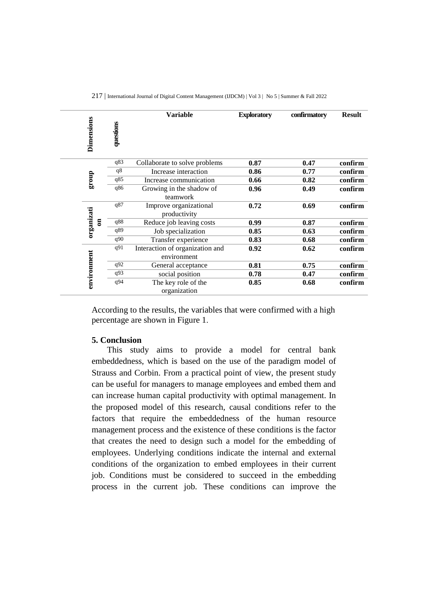|  |  |  |  | 217   International Journal of Digital Content Management (IJDCM)   Vol 3   No 5   Summer & Fall 2022 |
|--|--|--|--|-------------------------------------------------------------------------------------------------------|
|--|--|--|--|-------------------------------------------------------------------------------------------------------|

|  | Dimensions                 | questions | <b>Variable</b>                                | <b>Exploratory</b> | confirmatory | <b>Result</b> |
|--|----------------------------|-----------|------------------------------------------------|--------------------|--------------|---------------|
|  | dno.18                     | q83       | Collaborate to solve problems                  | 0.87               | 0.47         | confirm       |
|  |                            | q8        | Increase interaction                           | 0.86               | 0.77         | confirm       |
|  |                            | q85       | Increase communication                         | 0.66               | 0.82         | confirm       |
|  |                            | q86       | Growing in the shadow of<br>teamwork           | 0.96               | 0.49         | confirm       |
|  | organizati<br>$\mathbf{g}$ | q87       | Improve organizational<br>productivity         | 0.72               | 0.69         | confirm       |
|  |                            | q88       | Reduce job leaving costs                       | 0.99               | 0.87         | confirm       |
|  |                            | q89       | Job specialization                             | 0.85               | 0.63         | confirm       |
|  |                            | q90       | Transfer experience                            | 0.83               | 0.68         | confirm       |
|  | environment                | q91       | Interaction of organization and<br>environment | 0.92               | 0.62         | confirm       |
|  |                            | q92       | General acceptance                             | 0.81               | 0.75         | confirm       |
|  |                            | q93       | social position                                | 0.78               | 0.47         | confirm       |
|  |                            | q94       | The key role of the<br>organization            | 0.85               | 0.68         | confirm       |

According to the results, the variables that were confirmed with a high percentage are shown in Figure 1.

#### **5. Conclusion**

This study aims to provide a model for central bank embeddedness, which is based on the use of the paradigm model of Strauss and Corbin. From a practical point of view, the present study can be useful for managers to manage employees and embed them and can increase human capital productivity with optimal management. In the proposed model of this research, causal conditions refer to the factors that require the embeddedness of the human resource management process and the existence of these conditions is the factor that creates the need to design such a model for the embedding of employees. Underlying conditions indicate the internal and external conditions of the organization to embed employees in their current job. Conditions must be considered to succeed in the embedding process in the current job. These conditions can improve the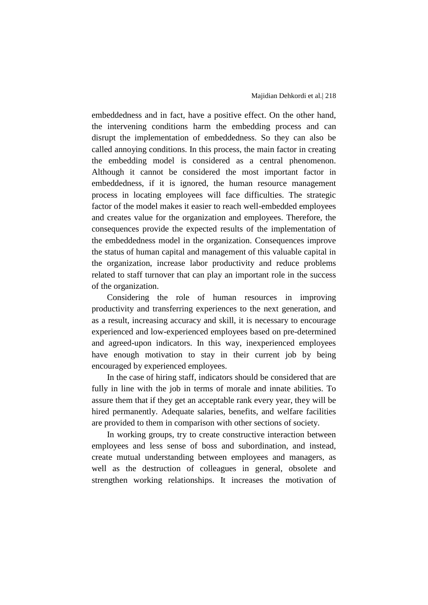embeddedness and in fact, have a positive effect. On the other hand, the intervening conditions harm the embedding process and can disrupt the implementation of embeddedness. So they can also be called annoying conditions. In this process, the main factor in creating the embedding model is considered as a central phenomenon. Although it cannot be considered the most important factor in embeddedness, if it is ignored, the human resource management process in locating employees will face difficulties. The strategic factor of the model makes it easier to reach well-embedded employees and creates value for the organization and employees. Therefore, the consequences provide the expected results of the implementation of the embeddedness model in the organization. Consequences improve the status of human capital and management of this valuable capital in the organization, increase labor productivity and reduce problems related to staff turnover that can play an important role in the success of the organization.

Considering the role of human resources in improving productivity and transferring experiences to the next generation, and as a result, increasing accuracy and skill, it is necessary to encourage experienced and low-experienced employees based on pre-determined and agreed-upon indicators. In this way, inexperienced employees have enough motivation to stay in their current job by being encouraged by experienced employees.

In the case of hiring staff, indicators should be considered that are fully in line with the job in terms of morale and innate abilities. To assure them that if they get an acceptable rank every year, they will be hired permanently. Adequate salaries, benefits, and welfare facilities are provided to them in comparison with other sections of society.

In working groups, try to create constructive interaction between employees and less sense of boss and subordination, and instead, create mutual understanding between employees and managers, as well as the destruction of colleagues in general, obsolete and strengthen working relationships. It increases the motivation of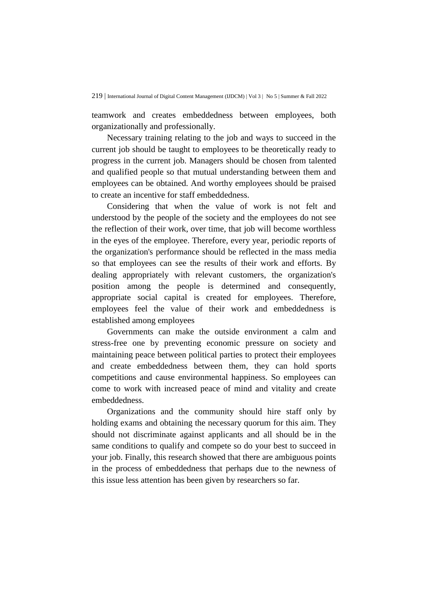teamwork and creates embeddedness between employees, both organizationally and professionally.

Necessary training relating to the job and ways to succeed in the current job should be taught to employees to be theoretically ready to progress in the current job. Managers should be chosen from talented and qualified people so that mutual understanding between them and employees can be obtained. And worthy employees should be praised to create an incentive for staff embeddedness.

Considering that when the value of work is not felt and understood by the people of the society and the employees do not see the reflection of their work, over time, that job will become worthless in the eyes of the employee. Therefore, every year, periodic reports of the organization's performance should be reflected in the mass media so that employees can see the results of their work and efforts. By dealing appropriately with relevant customers, the organization's position among the people is determined and consequently, appropriate social capital is created for employees. Therefore, employees feel the value of their work and embeddedness is established among employees

Governments can make the outside environment a calm and stress-free one by preventing economic pressure on society and maintaining peace between political parties to protect their employees and create embeddedness between them, they can hold sports competitions and cause environmental happiness. So employees can come to work with increased peace of mind and vitality and create embeddedness.

Organizations and the community should hire staff only by holding exams and obtaining the necessary quorum for this aim. They should not discriminate against applicants and all should be in the same conditions to qualify and compete so do your best to succeed in your job. Finally, this research showed that there are ambiguous points in the process of embeddedness that perhaps due to the newness of this issue less attention has been given by researchers so far.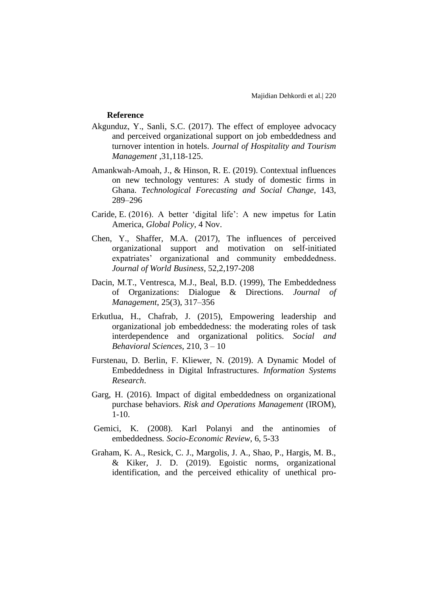#### **Reference**

- Akgunduz, Y., Sanli, S.C. (2017). The effect of employee advocacy and perceived organizational support on job embeddedness and turnover intention in hotels. *Journal of Hospitality and Tourism Management* ,31,118-125.
- Amankwah-Amoah, J., & Hinson, R. E. (2019). Contextual influences on new technology ventures: A study of domestic firms in Ghana. *Technological Forecasting and Social Change*, 143, 289–296
- Caride, E. (2016). A better 'digital life': A new impetus for Latin America, *Global Policy*, 4 Nov.
- Chen, Y., Shaffer, M.A. (2017), The influences of perceived organizational support and motivation on self-initiated expatriates' organizational and community embeddedness. *Journal of World Business*, 52,2,197-208
- Dacin, M.T., Ventresca, M.J., Beal, B.D. (1999), The Embeddedness of Organizations: Dialogue & Directions. *Journal of Management*, 25(3), 317–356
- Erkutlua, H., Chafrab, J. (2015), Empowering leadership and organizational job embeddedness: the moderating roles of task interdependence and organizational politics. *Social and Behavioral Sciences*, 210, 3 – 10
- Furstenau, D. Berlin, F. Kliewer, N. (2019). A Dynamic Model of Embeddedness in Digital Infrastructures. *Information Systems Research*.
- Garg, H. (2016). Impact of digital embeddedness on organizational purchase behaviors. *Risk and Operations Management* (IROM), 1-10.
- Gemici, K. (2008). Karl Polanyi and the antinomies of embeddedness*. Socio-Economic Review*, 6, 5-33
- Graham, K. A., Resick, C. J., Margolis, J. A., Shao, P., Hargis, M. B., & Kiker, J. D. (2019). Egoistic norms, organizational identification, and the perceived ethicality of unethical pro-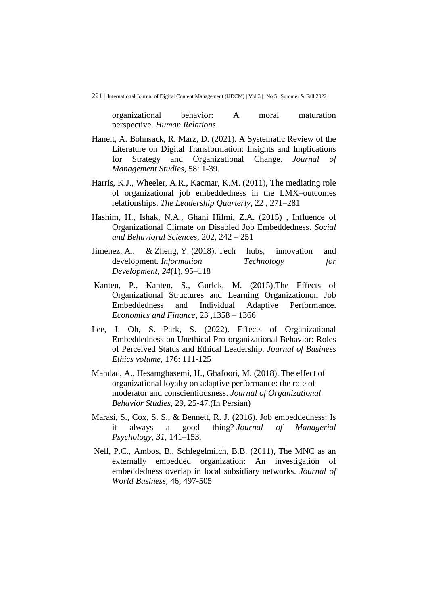organizational behavior: A moral maturation perspective. *Human Relations*.

- Hanelt, A. Bohnsack, R. Marz, D. (2021). A Systematic Review of the Literature on Digital Transformation: Insights and Implications for Strategy and Organizational Change. *Journal of Management Studies*, 58: 1-39.
- Harris, K.J., Wheeler, A.R., Kacmar, K.M. (2011), The mediating role of organizational job embeddedness in the LMX–outcomes relationships. *The Leadership Quarterly*, 22 , 271–281
- Hashim, H., Ishak, N.A., Ghani Hilmi, Z.A. (2015) , Influence of Organizational Climate on Disabled Job Embeddedness. *Social and Behavioral Sciences*, 202, 242 – 251
- Jiménez, A., & Zheng, Y. (2018). Tech hubs, innovation and development. *Information Technology for Development*, *24*(1), 95–118
- Kanten, P., Kanten, S., Gurlek, M. (2015),The Effects of Organizational Structures and Learning Organizationon Job Embeddedness and Individual Adaptive Performance. *Economics and Finance*, 23 ,1358 – 1366
- Lee, J. Oh, S. Park, S. (2022). Effects of Organizational Embeddedness on Unethical Pro-organizational Behavior: Roles of Perceived Status and Ethical Leadership*. Journal of Business Ethics volume*, 176: 111-125
- Mahdad, A., Hesamghasemi, H., Ghafoori, M. (2018). The effect of organizational loyalty on adaptive performance: the role of moderator and conscientiousness. *Journal of Organizational Behavior Studies*, 29, 25-47.(In Persian)
- Marasi, S., Cox, S. S., & Bennett, R. J. (2016). Job embeddedness: Is it always a good thing? *Journal of Managerial Psychology, 31,* 141–153.
- Nell, P.C., Ambos, B., Schlegelmilch, B.B. (2011), The MNC as an externally embedded organization: An investigation of embeddedness overlap in local subsidiary networks. *Journal of World Business*, 46, 497-505